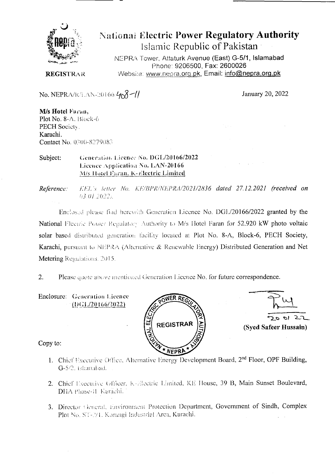

# **National Electric Power Regulatory Authority** Islamic Republic of Pakistan

NEPRA Tower, Attaturk Avenue (East) G-5/1, Islamabad Phone: 9206500, Fax: 2600026 Website: www.nepra.org.pk, Email: info@nepra.org.pk

**REGISTRAR** 

No. NEPRA/R/LAN-20166/408-11

January 20, 2022

M/s Hotel Faran, Plot No. 8-A, Block-6 PECH Society. Karachi. Contact No. 0300-8279083

Generation Licence No. DGL/20166/2022 Subject: Licence Application No. LAN-20166 M/s Hotel Faran, K-Electric Limited

KEL's letter No. KE/BPR/NEPRA/2021/2836 dated 27.12.2021 (received on Reference: 03.01.2022).

Enclosed please find herewith Generation Licence No. DGL/20166/2022 granted by the National Electric Power Regulatory Authority to M/s Hotel Faran for 52.920 kW photo voltaic solar based distributed generation facility located at Plot No. 8-A, Block-6, PECH Society, Karachi, pursuant to NEPRA (Alternative & Renewable Energy) Distributed Generation and Net Metering Regulations, 2015.

Please quote above mentioned Generation Licence No. for future correspondence.  $2.$ 

Enclosure: Generation Licence  $(DGL/20166/2022)$ 





Copy to:

- 1. Chief Executive Office, Alternative Energy Development Board, 2<sup>nd</sup> Floor, OPF Building, G-5/2, islamabad.
- 2. Chief Executive Officer, K-Electric Limited, KE House, 39 B, Main Sunset Boulevard, DHA Phase-II Karachi.
- 3. Director General, Environment Protection Department, Government of Sindh, Complex Plot No. ST-2/1. Korangi Industrial Area, Karachi.